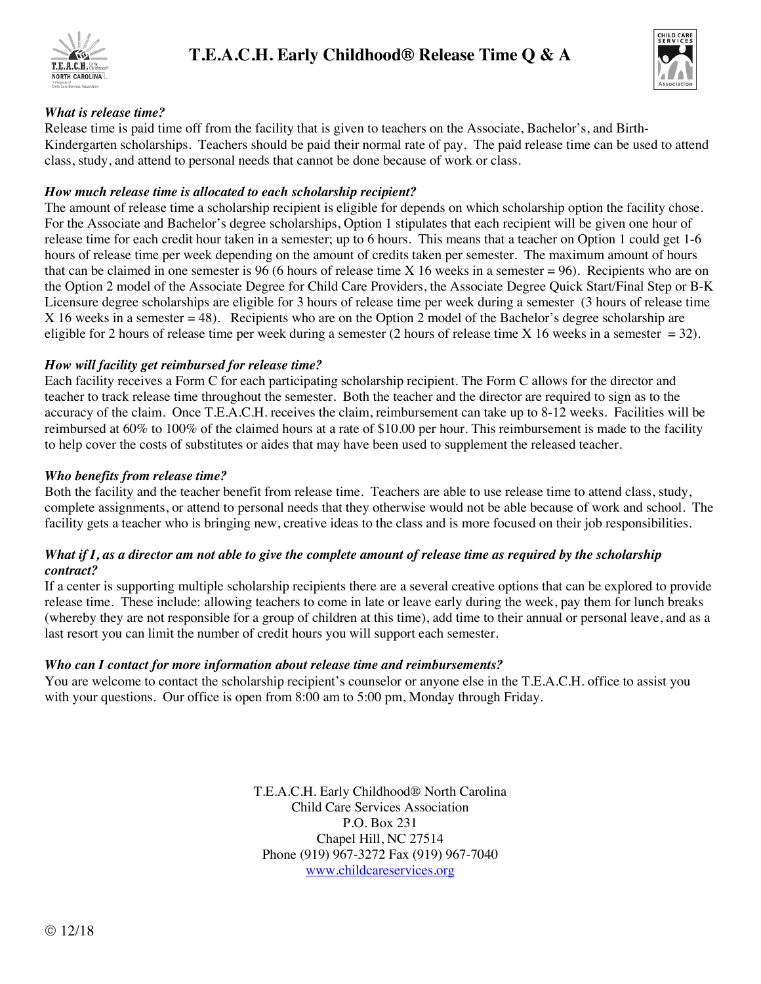



### *What is release time?*

Release time is paid time off from the facility that is given to teachers on the Associate, Bachelor's, and Birth-Kindergarten scholarships. Teachers should be paid their normal rate of pay. The paid release time can be used to attend class, study, and attend to personal needs that cannot be done because of work or class.

### *How much release time is allocated to each scholarship recipient?*

The amount of release time a scholarship recipient is eligible for depends on which scholarship option the facility chose. For the Associate and Bachelor's degree scholarships, Option 1 stipulates that each recipient will be given one hour of release time for each credit hour taken in a semester; up to 6 hours. This means that a teacher on Option 1 could get 1-6 hours of release time per week depending on the amount of credits taken per semester. The maximum amount of hours that can be claimed in one semester is 96 (6 hours of release time X 16 weeks in a semester = 96). Recipients who are on the Option 2 model of the Associate Degree for Child Care Providers, the Associate Degree Quick Start/Final Step or B-K Licensure degree scholarships are eligible for 3 hours of release time per week during a semester (3 hours of release time X 16 weeks in a semester = 48). Recipients who are on the Option 2 model of the Bachelor's degree scholarship are eligible for 2 hours of release time per week during a semester (2 hours of release time X 16 weeks in a semester  $= 32$ ).

## *How will facility get reimbursed for release time?*

Each facility receives a Form C for each participating scholarship recipient. The Form C allows for the director and teacher to track release time throughout the semester. Both the teacher and the director are required to sign as to the accuracy of the claim. Once T.E.A.C.H. receives the claim, reimbursement can take up to 8-12 weeks. Facilities will be reimbursed at 60% to 100% of the claimed hours at a rate of \$10.00 per hour. This reimbursement is made to the facility to help cover the costs of substitutes or aides that may have been used to supplement the released teacher.

### *Who benefits from release time?*

Both the facility and the teacher benefit from release time. Teachers are able to use release time to attend class, study, complete assignments, or attend to personal needs that they otherwise would not be able because of work and school. The facility gets a teacher who is bringing new, creative ideas to the class and is more focused on their job responsibilities.

### *What if I, as a director am not able to give the complete amount of release time as required by the scholarship contract?*

If a center is supporting multiple scholarship recipients there are a several creative options that can be explored to provide release time. These include: allowing teachers to come in late or leave early during the week, pay them for lunch breaks (whereby they are not responsible for a group of children at this time), add time to their annual or personal leave, and as a last resort you can limit the number of credit hours you will support each semester.

### *Who can I contact for more information about release time and reimbursements?*

You are welcome to contact the scholarship recipient's counselor or anyone else in the T.E.A.C.H. office to assist you with your questions. Our office is open from 8:00 am to 5:00 pm, Monday through Friday.

> T.E.A.C.H. Early Childhood® North Carolina Child Care Services Association P.O. Box 231 Chapel Hill, NC 27514 Phone (919) 967-3272 Fax (919) 967-7040 www.childcareservices.org